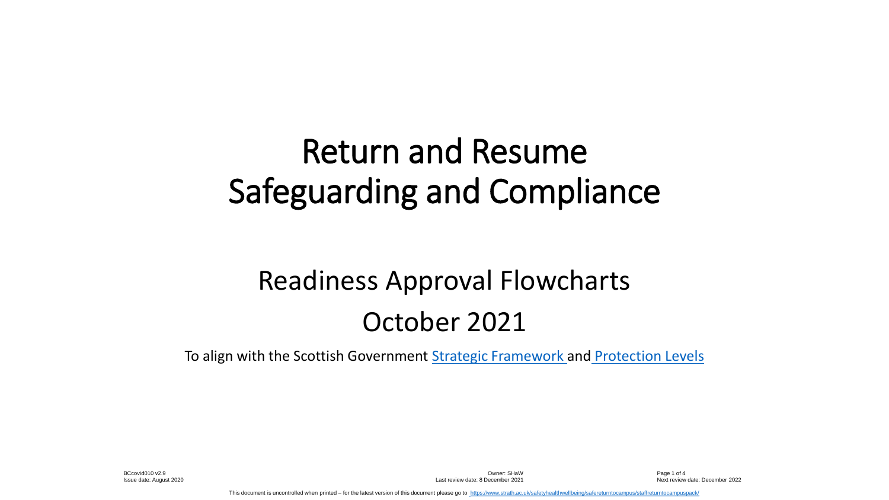# Return and Resume Safeguarding and Compliance

# Readiness Approval Flowcharts October 2021

To align with the Scottish Government [Strategic Framework](https://www.gov.scot/publications/coronavirus-covid-19-strategic-framework-update-february-2021/) and [Protection Levels](https://www.gov.scot/binaries/content/documents/govscot/publications/advice-and-guidance/2020/10/coronavirus-covid-19-protection-levels/documents/covid-19-protection-levels-summary-information-on-what-you-can-and-cannot-do/covid-19-protection-levels-summary-information-on-what-you-can-and-cannot-do/govscot%3Adocument/COVID-19%2Bprotection%2Blevels%2B-%2Bsummary%2Binformation%2Bon%2Bwhat%2Byou%2Bcan%2Band%2Bcannot%2Bdo.pdf)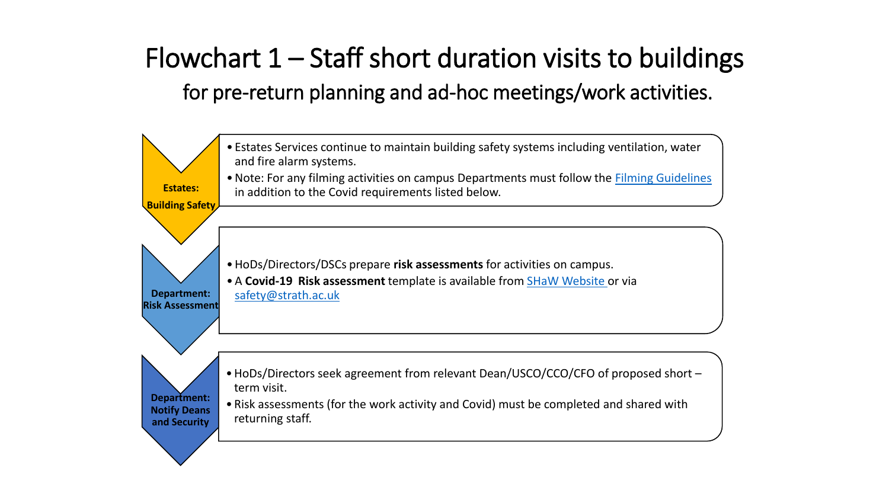# Flowchart  $1 -$  Staff short duration visits to buildings for pre-return planning and ad-hoc meetings/work activities.

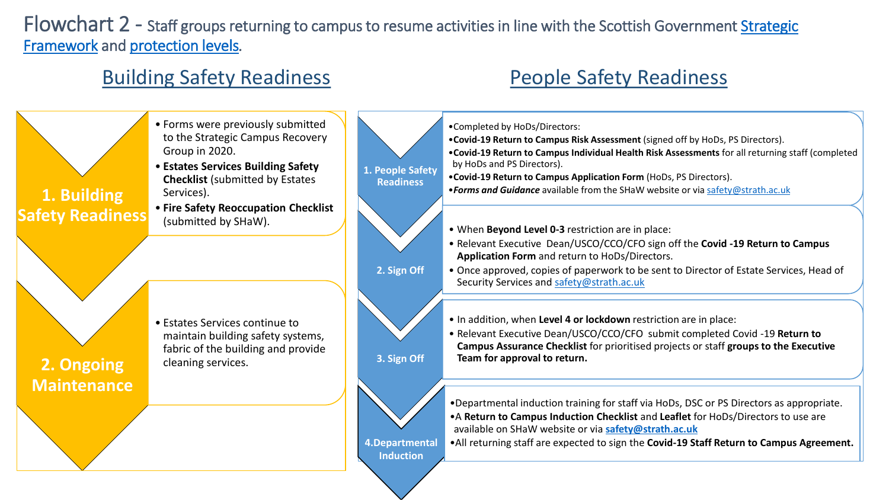Flowchart 2 - [Staff groups returning to campus to resume activities in line with the Scottish Government Strategic](https://www.gov.scot/publications/coronavirus-covid-19-strategic-framework-update-february-2021/) Framework and [protection levels](https://www.gov.scot/binaries/content/documents/govscot/publications/advice-and-guidance/2020/10/coronavirus-covid-19-protection-levels/documents/covid-19-protection-levels-summary-information-on-what-you-can-and-cannot-do/covid-19-protection-levels-summary-information-on-what-you-can-and-cannot-do/govscot%3Adocument/COVID-19%2Bprotection%2Blevels%2B-%2Bsummary%2Binformation%2Bon%2Bwhat%2Byou%2Bcan%2Band%2Bcannot%2Bdo.pdf)*.* 

#### Building Safety Readiness **People Safety Readiness**

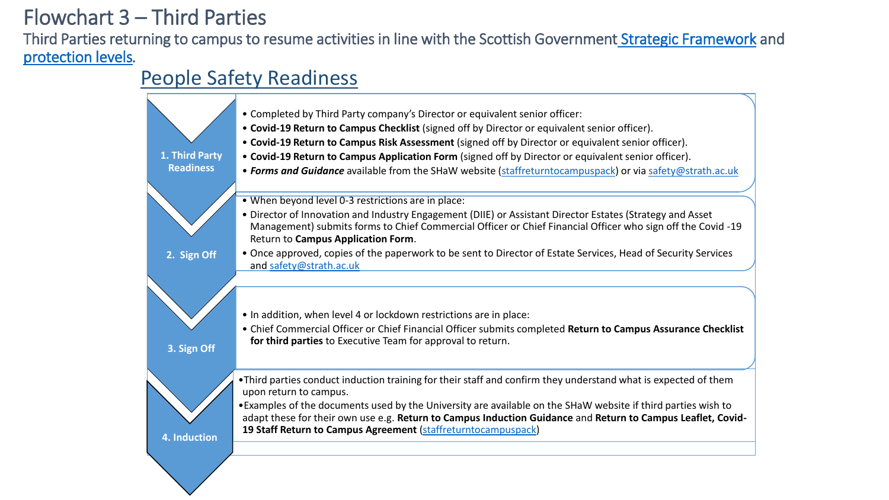### Flowchart 3 – Third Parties

Third Parties returning to campus to resume activities in line with the Scottish Government [Strategic Framework](https://www.gov.scot/publications/coronavirus-covid-19-strategic-framework-update-february-2021/) and [protection levels](https://www.gov.scot/binaries/content/documents/govscot/publications/advice-and-guidance/2020/10/coronavirus-covid-19-protection-levels/documents/covid-19-protection-levels-summary-information-on-what-you-can-and-cannot-do/covid-19-protection-levels-summary-information-on-what-you-can-and-cannot-do/govscot%3Adocument/COVID-19%2Bprotection%2Blevels%2B-%2Bsummary%2Binformation%2Bon%2Bwhat%2Byou%2Bcan%2Band%2Bcannot%2Bdo.pdf)*.* 

#### People Safety Readiness

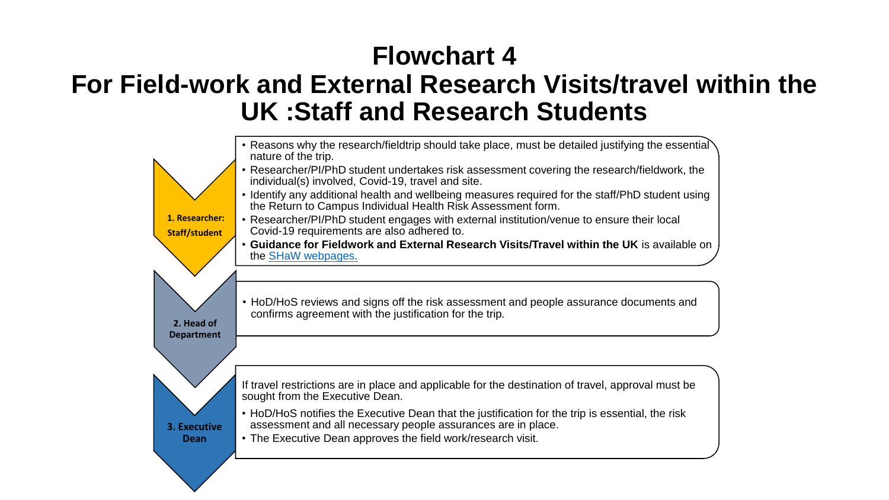# **Flowchart 4 For Field-work and External Research Visits/travel within the UK :Staff and Research Students**

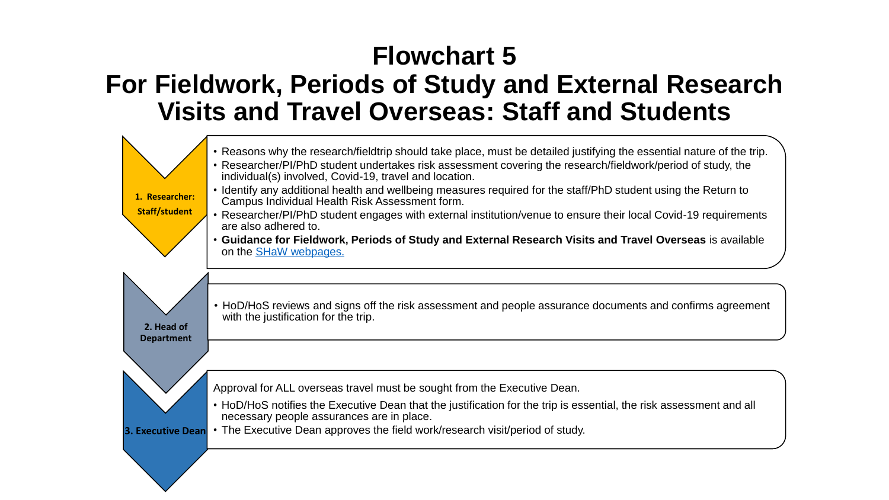# **Flowchart 5 For Fieldwork, Periods of Study and External Research Visits and Travel Overseas: Staff and Students**

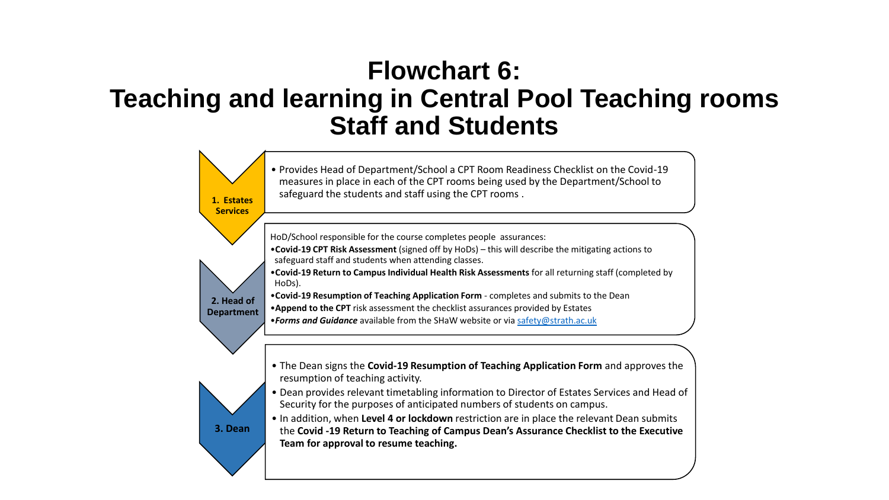## **Flowchart 6: Teaching and learning in Central Pool Teaching rooms Staff and Students**

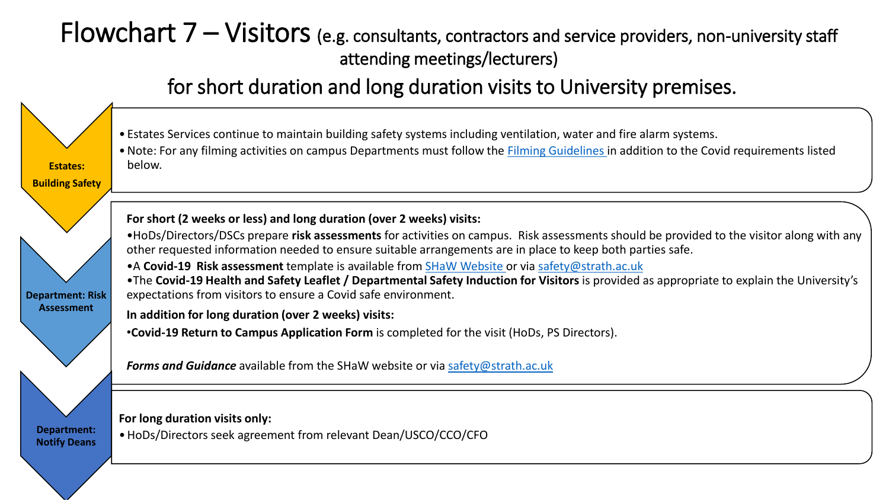### Flowchart 7 – Visitors (e.g. consultants, contractors and service providers, non-university staff attending meetings/lecturers)

#### for short duration and long duration visits to University premises.



•Note: For any filming activities on campus Departments must follow the [Filming Guidelines i](https://www.strath.ac.uk/professionalservices/media/ps/comms/Filming_Guidelines.pdf)n addition to the Covid requirements listed below.

**For short (2 weeks or less) and long duration (over 2 weeks) visits:**

•HoDs/Directors/DSCs prepare **risk assessments** for activities on campus. Risk assessments should be provided to the visitor along with any other requested information needed to ensure suitable arrangements are in place to keep both parties safe.

•A **Covid-19 Risk assessment** template is available from [SHaW Website o](https://www.strath.ac.uk/safetyhealthwellbeing/safereturntocampus/staffreturntocampuspack/)r via [safety@strath.ac.uk](mailto:safety@strath.ac.uk)

•The **Covid-19 Health and Safety Leaflet / Departmental Safety Induction for Visitors** is provided as appropriate to explain the University's expectations from visitors to ensure a Covid safe environment.

**In addition for long duration (over 2 weeks) visits:**

•**Covid-19 Return to Campus Application Form** is completed for the visit (HoDs, PS Directors).

*Forms and Guidance* available from the SHaW website or via [safety@strath.ac.uk](file:///C:/Users/kkb09215/AppData/Local/Microsoft/Windows/Temporary%20Internet%20Files/Content.IE5/KS27KA7U/safety@strath.ac.uk)

**For long duration visits only:**

•HoDs/Directors seek agreement from relevant Dean/USCO/CCO/CFO

**Department: Notify Deans**

**Estates: Building Safety**

**Department: Risk Assessment**